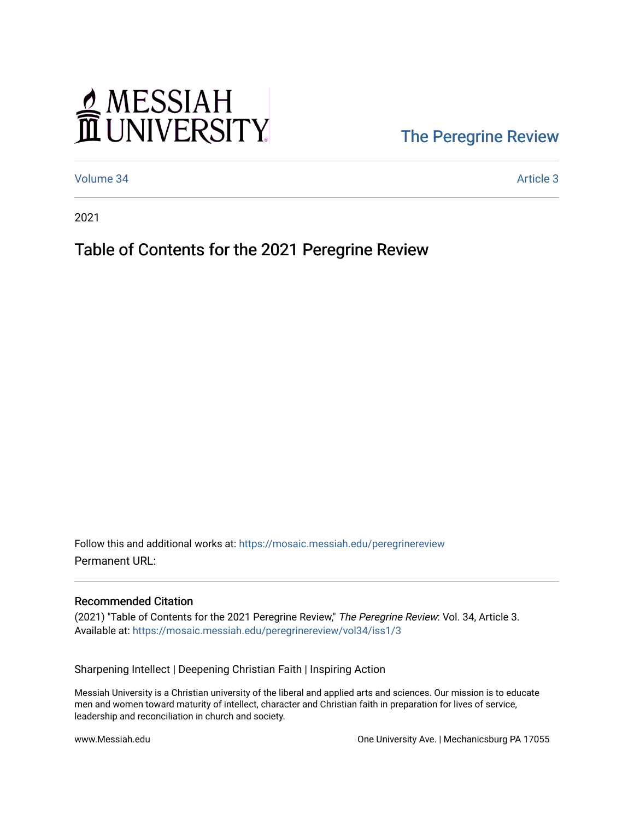# MESSIAH

### [The Peregrine Review](https://mosaic.messiah.edu/peregrinereview)

[Volume 34](https://mosaic.messiah.edu/peregrinereview/vol34) Article 3

2021

#### Table of Contents for the 2021 Peregrine Review

Follow this and additional works at: [https://mosaic.messiah.edu/peregrinereview](https://mosaic.messiah.edu/peregrinereview?utm_source=mosaic.messiah.edu%2Fperegrinereview%2Fvol34%2Fiss1%2F3&utm_medium=PDF&utm_campaign=PDFCoverPages)  Permanent URL:

#### Recommended Citation

(2021) "Table of Contents for the 2021 Peregrine Review," The Peregrine Review: Vol. 34, Article 3. Available at: [https://mosaic.messiah.edu/peregrinereview/vol34/iss1/3](https://mosaic.messiah.edu/peregrinereview/vol34/iss1/3?utm_source=mosaic.messiah.edu%2Fperegrinereview%2Fvol34%2Fiss1%2F3&utm_medium=PDF&utm_campaign=PDFCoverPages) 

Sharpening Intellect | Deepening Christian Faith | Inspiring Action

Messiah University is a Christian university of the liberal and applied arts and sciences. Our mission is to educate men and women toward maturity of intellect, character and Christian faith in preparation for lives of service, leadership and reconciliation in church and society.